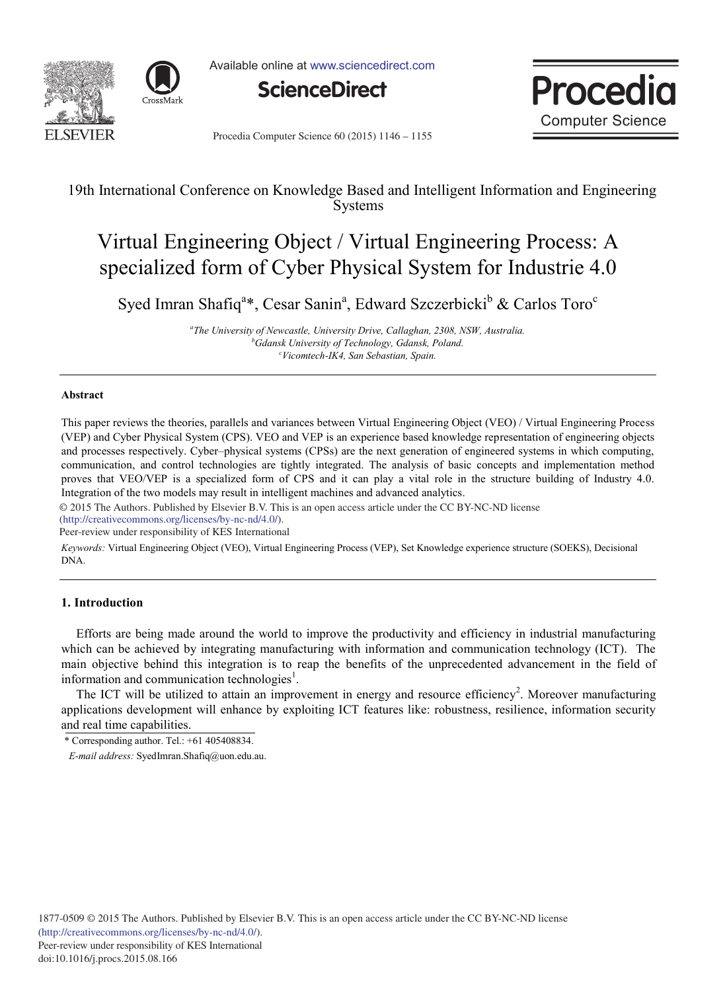



Available online at www.sciencedirect.com





Procedia Computer Science 60 (2015) 1146 - 1155

# 19th International Conference on Knowledge Based and Intelligent Information and Engineering Systems

# Virtual Engineering Object / Virtual Engineering Process: A specialized form of Cyber Physical System for Industrie 4.0

Syed Imran Shafiq<sup>a\*</sup>, Cesar Sanin<sup>a</sup>, Edward Szczerbicki<sup>b</sup> & Carlos Toro<sup>c</sup>

*a The University of Newcastle, University Drive, Callaghan, 2308, NSW, Australia. b Gdansk University of Technology, Gdansk, Poland. c Vicomtech-IK4, San Sebastian, Spain.*

# **Abstract**

This paper reviews the theories, parallels and variances between Virtual Engineering Object (VEO) / Virtual Engineering Process (VEP) and Cyber Physical System (CPS). VEO and VEP is an experience based knowledge representation of engineering objects and processes respectively. Cyber–physical systems (CPSs) are the next generation of engineered systems in which computing, communication, and control technologies are tightly integrated. The analysis of basic concepts and implementation method proves that VEO/VEP is a specialized form of CPS and it can play a vital role in the structure building of Industry 4.0. Integration of the two models may result in intelligent machines and advanced analytics.

© 2015 The Authors. Published by Elsevier B.V. © 2015 The Authors. Published by Elsevier B.V. This is an open access article under the CC BY-NC-ND license (http://creativecommons.org/licenses/by-nc-nd/4.0/).

Peer-review under responsibility of KES International

*Keywords:* Virtual Engineering Object (VEO), Virtual Engineering Process (VEP), Set Knowledge experience structure (SOEKS), Decisional DNA.

# **1. Introduction**

Efforts are being made around the world to improve the productivity and efficiency in industrial manufacturing which can be achieved by integrating manufacturing with information and communication technology (ICT). The main objective behind this integration is to reap the benefits of the unprecedented advancement in the field of information and communication technologies<sup>1</sup>.

The ICT will be utilized to attain an improvement in energy and resource efficiency<sup>2</sup>. Moreover manufacturing applications development will enhance by exploiting ICT features like: robustness, resilience, information security and real time capabilities.

<sup>\*</sup> Corresponding author. Tel.:  $+61$  405408834.

*E-mail address:* SyedImran.Shafiq@uon.edu.au.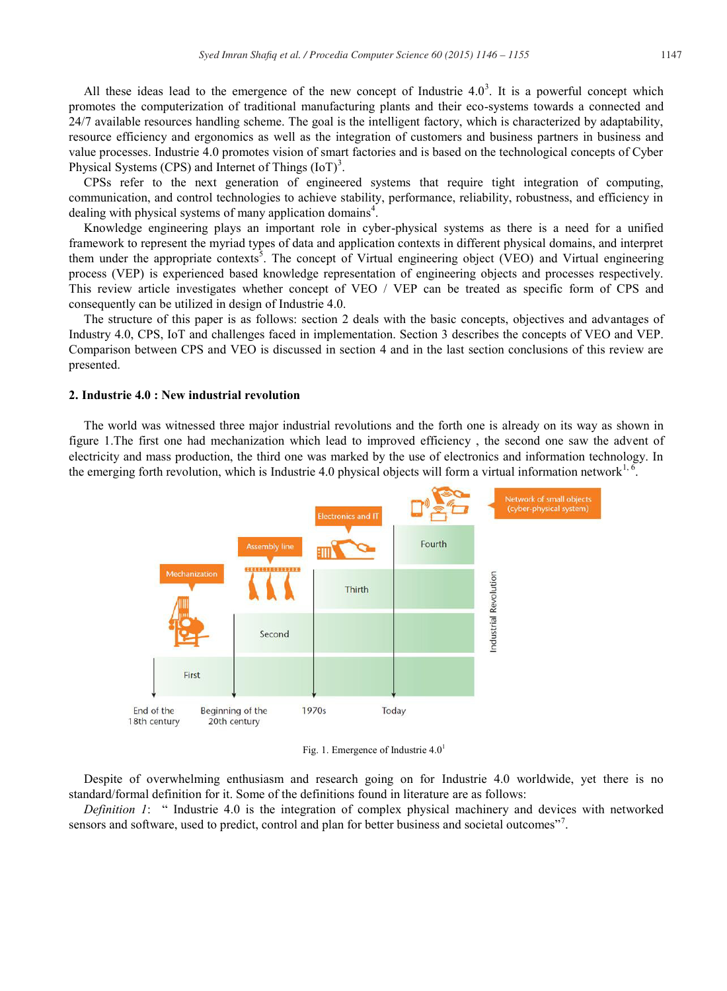All these ideas lead to the emergence of the new concept of Industrie  $4.0<sup>3</sup>$ . It is a powerful concept which promotes the computerization of traditional manufacturing plants and their eco-systems towards a connected and 24/7 available resources handling scheme. The goal is the intelligent factory, which is characterized by adaptability, resource efficiency and ergonomics as well as the integration of customers and business partners in business and value processes. Industrie 4.0 promotes vision of smart factories and is based on the technological concepts of Cyber Physical Systems (CPS) and Internet of Things  $(IoT)^3$ .

CPSs refer to the next generation of engineered systems that require tight integration of computing, communication, and control technologies to achieve stability, performance, reliability, robustness, and efficiency in dealing with physical systems of many application domains<sup>4</sup>.

Knowledge engineering plays an important role in cyber-physical systems as there is a need for a unified framework to represent the myriad types of data and application contexts in different physical domains, and interpret them under the appropriate contexts<sup>5</sup>. The concept of Virtual engineering object (VEO) and Virtual engineering process (VEP) is experienced based knowledge representation of engineering objects and processes respectively. This review article investigates whether concept of VEO / VEP can be treated as specific form of CPS and consequently can be utilized in design of Industrie 4.0.

The structure of this paper is as follows: section 2 deals with the basic concepts, objectives and advantages of Industry 4.0, CPS, IoT and challenges faced in implementation. Section 3 describes the concepts of VEO and VEP. Comparison between CPS and VEO is discussed in section 4 and in the last section conclusions of this review are presented.

#### **2. Industrie 4.0 : New industrial revolution**

The world was witnessed three major industrial revolutions and the forth one is already on its way as shown in figure 1.The first one had mechanization which lead to improved efficiency , the second one saw the advent of electricity and mass production, the third one was marked by the use of electronics and information technology. In the emerging forth revolution, which is Industrie 4.0 physical objects will form a virtual information network<sup>1, 6</sup>.



Fig. 1. Emergence of Industrie  $4.0<sup>1</sup>$ 

Despite of overwhelming enthusiasm and research going on for Industrie 4.0 worldwide, yet there is no standard/formal definition for it. Some of the definitions found in literature are as follows:

*Definition 1*: " Industrie 4.0 is the integration of complex physical machinery and devices with networked sensors and software, used to predict, control and plan for better business and societal outcomes"<sup>7</sup>.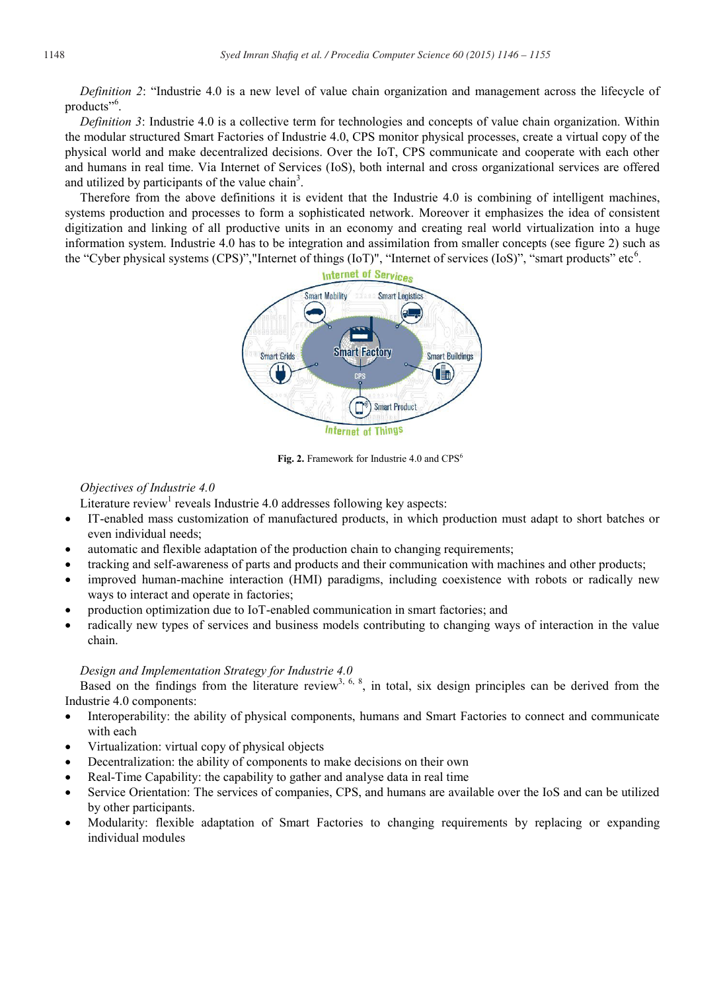*Definition 2*: "Industrie 4.0 is a new level of value chain organization and management across the lifecycle of products"<sup>6</sup>.

*Definition 3*: Industrie 4.0 is a collective term for technologies and concepts of value chain organization. Within the modular structured Smart Factories of Industrie 4.0, CPS monitor physical processes, create a virtual copy of the physical world and make decentralized decisions. Over the IoT, CPS communicate and cooperate with each other and humans in real time. Via Internet of Services (IoS), both internal and cross organizational services are offered and utilized by participants of the value chain<sup>3</sup>.

Therefore from the above definitions it is evident that the Industrie 4.0 is combining of intelligent machines, systems production and processes to form a sophisticated network. Moreover it emphasizes the idea of consistent digitization and linking of all productive units in an economy and creating real world virtualization into a huge information system. Industrie 4.0 has to be integration and assimilation from smaller concepts (see figure 2) such as the "Cyber physical systems (CPS)", "Internet of things (IoT)", "Internet of services (IoS)", "smart products" etc<sup>6</sup>.



Fig. 2. Framework for Industrie 4.0 and CPS<sup>6</sup>

# *Objectives of Industrie 4.0*

Literature review<sup>1</sup> reveals Industrie 4.0 addresses following key aspects:

- IT-enabled mass customization of manufactured products, in which production must adapt to short batches or even individual needs;
- automatic and flexible adaptation of the production chain to changing requirements;
- x tracking and self-awareness of parts and products and their communication with machines and other products;
- improved human-machine interaction (HMI) paradigms, including coexistence with robots or radically new ways to interact and operate in factories;
- production optimization due to IoT-enabled communication in smart factories; and
- radically new types of services and business models contributing to changing ways of interaction in the value chain.

# *Design and Implementation Strategy for Industrie 4.0*

Based on the findings from the literature review<sup>3, 6, 8</sup>, in total, six design principles can be derived from the Industrie 4.0 components:

- Interoperability: the ability of physical components, humans and Smart Factories to connect and communicate with each
- x Virtualization: virtual copy of physical objects
- Decentralization: the ability of components to make decisions on their own
- Real-Time Capability: the capability to gather and analyse data in real time
- Service Orientation: The services of companies, CPS, and humans are available over the IoS and can be utilized by other participants.
- Modularity: flexible adaptation of Smart Factories to changing requirements by replacing or expanding individual modules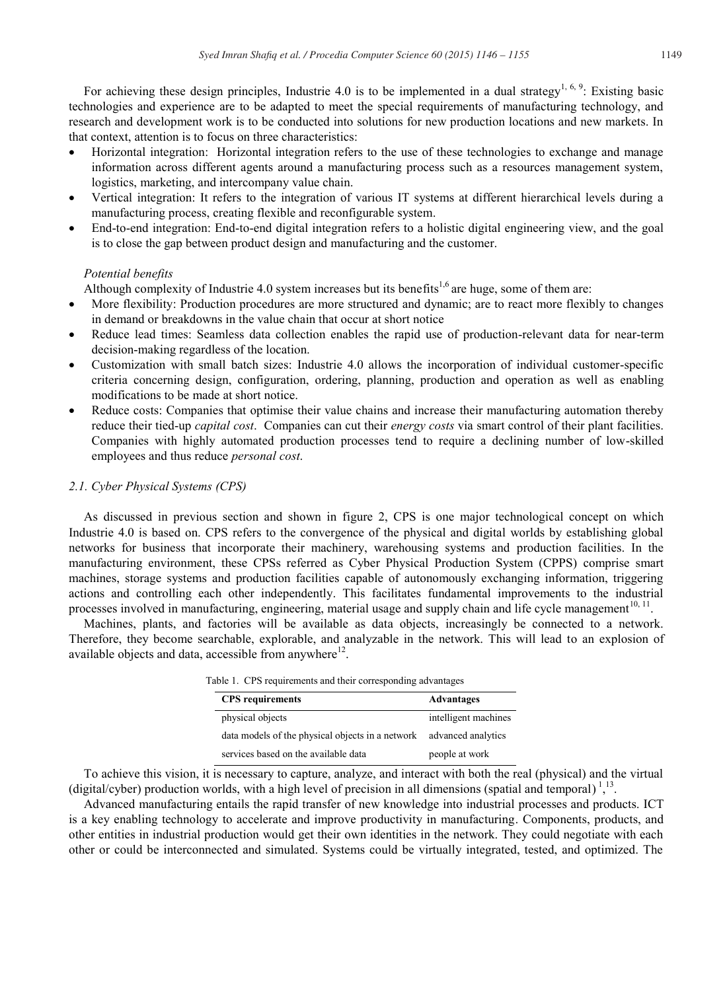For achieving these design principles, Industrie 4.0 is to be implemented in a dual strategy<sup>1, 6, 9</sup>: Existing basic technologies and experience are to be adapted to meet the special requirements of manufacturing technology, and research and development work is to be conducted into solutions for new production locations and new markets. In that context, attention is to focus on three characteristics:

- Horizontal integration: Horizontal integration refers to the use of these technologies to exchange and manage information across different agents around a manufacturing process such as a resources management system, logistics, marketing, and intercompany value chain.
- x Vertical integration: It refers to the integration of various IT systems at different hierarchical levels during a manufacturing process, creating flexible and reconfigurable system.
- End-to-end integration: End-to-end digital integration refers to a holistic digital engineering view, and the goal is to close the gap between product design and manufacturing and the customer.

# *Potential benefits*

Although complexity of Industrie 4.0 system increases but its benefits<sup>1,6</sup> are huge, some of them are:

- More flexibility: Production procedures are more structured and dynamic; are to react more flexibly to changes in demand or breakdowns in the value chain that occur at short notice
- Reduce lead times: Seamless data collection enables the rapid use of production-relevant data for near-term decision-making regardless of the location.
- x Customization with small batch sizes: Industrie 4.0 allows the incorporation of individual customer-specific criteria concerning design, configuration, ordering, planning, production and operation as well as enabling modifications to be made at short notice.
- Reduce costs: Companies that optimise their value chains and increase their manufacturing automation thereby reduce their tied-up *capital cost*. Companies can cut their *energy costs* via smart control of their plant facilities. Companies with highly automated production processes tend to require a declining number of low-skilled employees and thus reduce *personal cost*.

# *2.1. Cyber Physical Systems (CPS)*

As discussed in previous section and shown in figure 2, CPS is one major technological concept on which Industrie 4.0 is based on. CPS refers to the convergence of the physical and digital worlds by establishing global networks for business that incorporate their machinery, warehousing systems and production facilities. In the manufacturing environment, these CPSs referred as Cyber Physical Production System (CPPS) comprise smart machines, storage systems and production facilities capable of autonomously exchanging information, triggering actions and controlling each other independently. This facilitates fundamental improvements to the industrial processes involved in manufacturing, engineering, material usage and supply chain and life cycle management<sup>10, 11</sup>.

Machines, plants, and factories will be available as data objects, increasingly be connected to a network. Therefore, they become searchable, explorable, and analyzable in the network. This will lead to an explosion of available objects and data, accessible from anywhere $12$ .

|  |  | Table 1. CPS requirements and their corresponding advantages |  |  |
|--|--|--------------------------------------------------------------|--|--|
|--|--|--------------------------------------------------------------|--|--|

| <b>CPS</b> requirements                          | Advantages           |
|--------------------------------------------------|----------------------|
| physical objects                                 | intelligent machines |
| data models of the physical objects in a network | advanced analytics   |
| services based on the available data             | people at work       |

To achieve this vision, it is necessary to capture, analyze, and interact with both the real (physical) and the virtual (digital/cyber) production worlds, with a high level of precision in all dimensions (spatial and temporal) $^{1,13}$ .

Advanced manufacturing entails the rapid transfer of new knowledge into industrial processes and products. ICT is a key enabling technology to accelerate and improve productivity in manufacturing. Components, products, and other entities in industrial production would get their own identities in the network. They could negotiate with each other or could be interconnected and simulated. Systems could be virtually integrated, tested, and optimized. The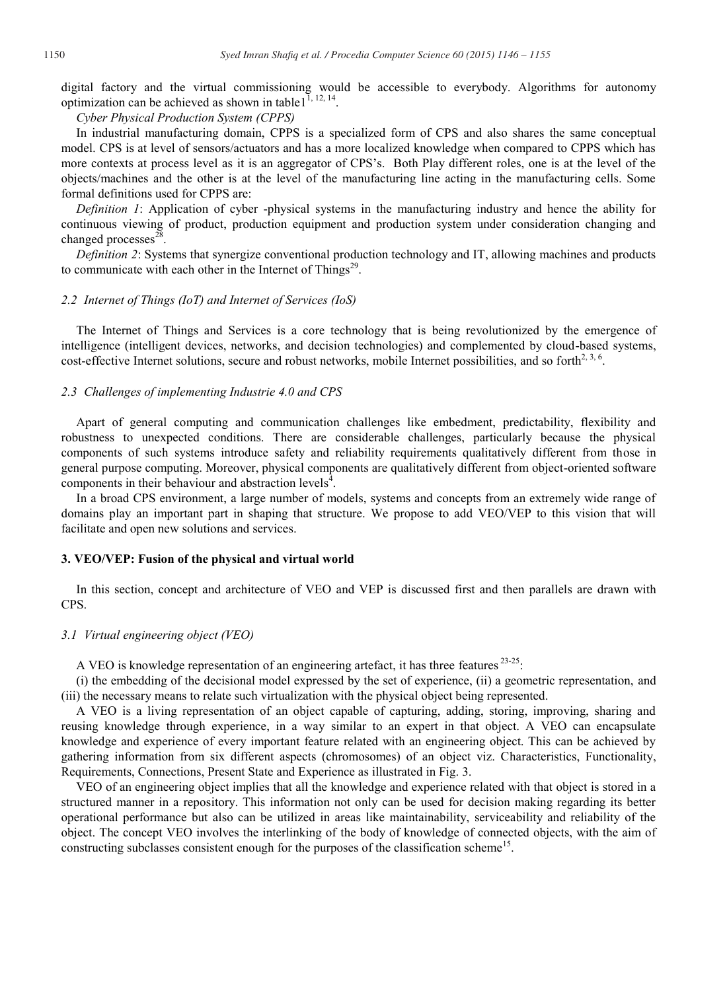digital factory and the virtual commissioning would be accessible to everybody. Algorithms for autonomy optimization can be achieved as shown in table1<sup>1, 12, 14</sup>.

*Cyber Physical Production System (CPPS)*

In industrial manufacturing domain, CPPS is a specialized form of CPS and also shares the same conceptual model. CPS is at level of sensors/actuators and has a more localized knowledge when compared to CPPS which has more contexts at process level as it is an aggregator of CPS's. Both Play different roles, one is at the level of the objects/machines and the other is at the level of the manufacturing line acting in the manufacturing cells. Some formal definitions used for CPPS are:

*Definition 1*: Application of cyber -physical systems in the manufacturing industry and hence the ability for continuous viewing of product, production equipment and production system under consideration changing and changed processes $^{28}$ .

*Definition 2*: Systems that synergize conventional production technology and IT, allowing machines and products to communicate with each other in the Internet of Things<sup>29</sup>.

#### *2.2 Internet of Things (IoT) and Internet of Services (IoS)*

The Internet of Things and Services is a core technology that is being revolutionized by the emergence of intelligence (intelligent devices, networks, and decision technologies) and complemented by cloud-based systems, cost-effective Internet solutions, secure and robust networks, mobile Internet possibilities, and so forth $2,3,6$ .

# *2.3 Challenges of implementing Industrie 4.0 and CPS*

Apart of general computing and communication challenges like embedment, predictability, flexibility and robustness to unexpected conditions. There are considerable challenges, particularly because the physical components of such systems introduce safety and reliability requirements qualitatively different from those in general purpose computing. Moreover, physical components are qualitatively different from object-oriented software components in their behaviour and abstraction levels $4$ .

In a broad CPS environment, a large number of models, systems and concepts from an extremely wide range of domains play an important part in shaping that structure. We propose to add VEO/VEP to this vision that will facilitate and open new solutions and services.

# **3. VEO/VEP: Fusion of the physical and virtual world**

In this section, concept and architecture of VEO and VEP is discussed first and then parallels are drawn with CPS.

#### *3.1 Virtual engineering object (VEO)*

A VEO is knowledge representation of an engineering artefact, it has three features<sup>23-25</sup>:

(i) the embedding of the decisional model expressed by the set of experience, (ii) a geometric representation, and (iii) the necessary means to relate such virtualization with the physical object being represented.

A VEO is a living representation of an object capable of capturing, adding, storing, improving, sharing and reusing knowledge through experience, in a way similar to an expert in that object. A VEO can encapsulate knowledge and experience of every important feature related with an engineering object. This can be achieved by gathering information from six different aspects (chromosomes) of an object viz. Characteristics, Functionality, Requirements, Connections, Present State and Experience as illustrated in Fig. 3.

VEO of an engineering object implies that all the knowledge and experience related with that object is stored in a structured manner in a repository. This information not only can be used for decision making regarding its better operational performance but also can be utilized in areas like maintainability, serviceability and reliability of the object. The concept VEO involves the interlinking of the body of knowledge of connected objects, with the aim of constructing subclasses consistent enough for the purposes of the classification scheme<sup>15</sup>.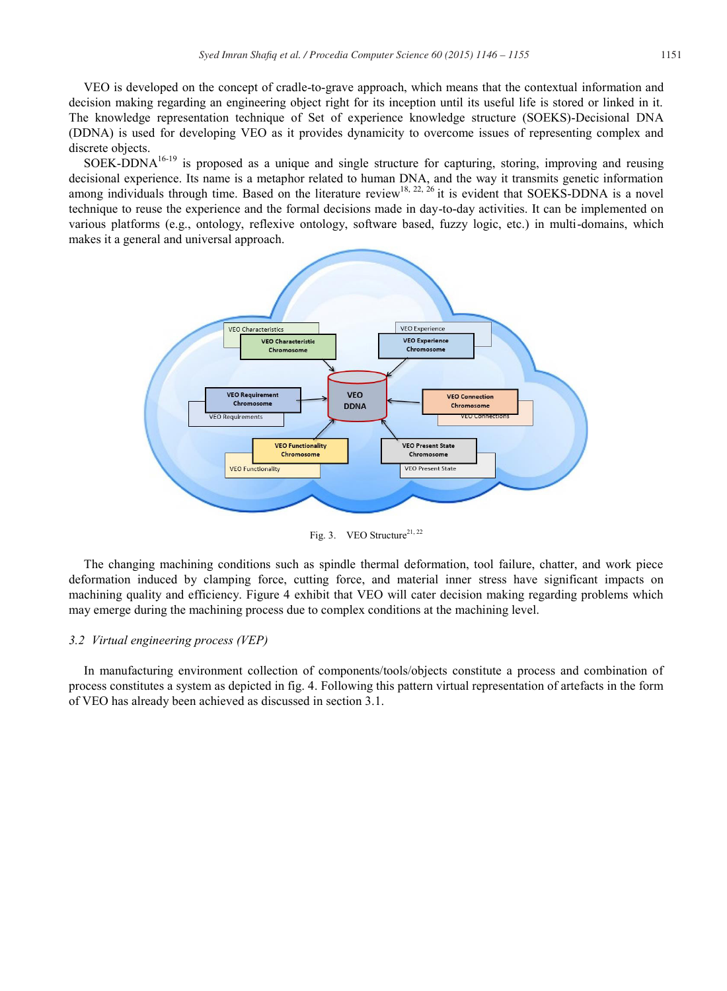VEO is developed on the concept of cradle-to-grave approach, which means that the contextual information and decision making regarding an engineering object right for its inception until its useful life is stored or linked in it. The knowledge representation technique of Set of experience knowledge structure (SOEKS)-Decisional DNA (DDNA) is used for developing VEO as it provides dynamicity to overcome issues of representing complex and discrete objects.

SOEK-DDNA16-19 is proposed as a unique and single structure for capturing, storing, improving and reusing decisional experience. Its name is a metaphor related to human DNA, and the way it transmits genetic information among individuals through time. Based on the literature review<sup>18, 22, 26</sup> it is evident that SOEKS-DDNA is a novel technique to reuse the experience and the formal decisions made in day-to-day activities. It can be implemented on various platforms (e.g., ontology, reflexive ontology, software based, fuzzy logic, etc.) in multi-domains, which makes it a general and universal approach.



Fig. 3. VEO Structure<sup>21, 22</sup>

The changing machining conditions such as spindle thermal deformation, tool failure, chatter, and work piece deformation induced by clamping force, cutting force, and material inner stress have significant impacts on machining quality and efficiency. Figure 4 exhibit that VEO will cater decision making regarding problems which may emerge during the machining process due to complex conditions at the machining level.

# *3.2 Virtual engineering process (VEP)*

In manufacturing environment collection of components/tools/objects constitute a process and combination of process constitutes a system as depicted in fig. 4. Following this pattern virtual representation of artefacts in the form of VEO has already been achieved as discussed in section 3.1.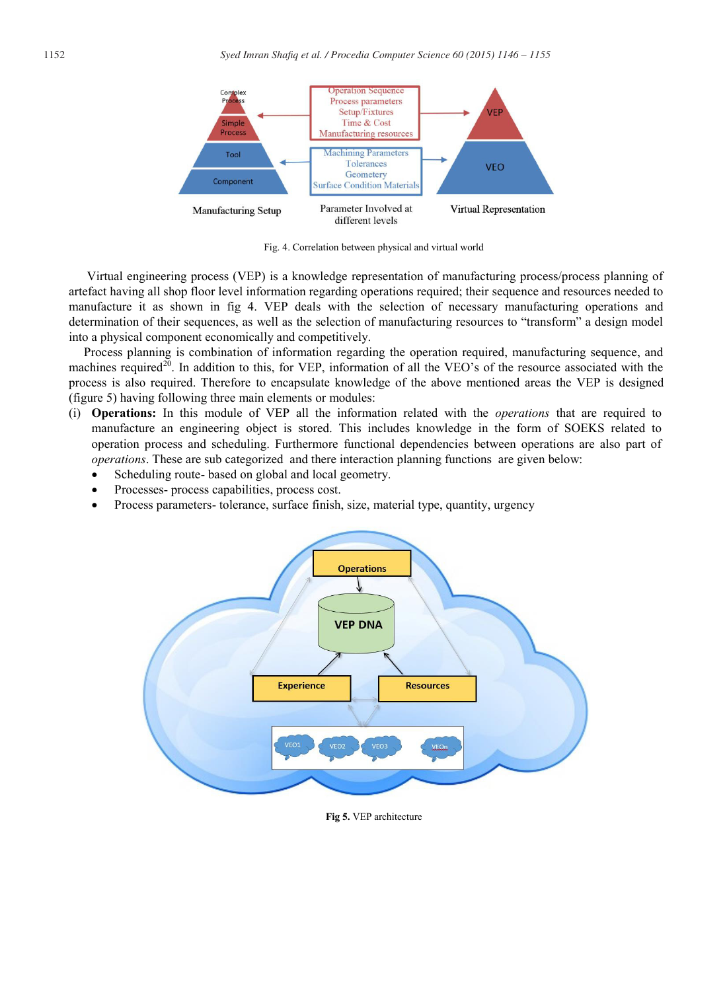

Fig. 4. Correlation between physical and virtual world

Virtual engineering process (VEP) is a knowledge representation of manufacturing process/process planning of artefact having all shop floor level information regarding operations required; their sequence and resources needed to manufacture it as shown in fig 4. VEP deals with the selection of necessary manufacturing operations and determination of their sequences, as well as the selection of manufacturing resources to "transform" a design model into a physical component economically and competitively.

Process planning is combination of information regarding the operation required, manufacturing sequence, and machines required<sup>20</sup>. In addition to this, for VEP, information of all the VEO's of the resource associated with the process is also required. Therefore to encapsulate knowledge of the above mentioned areas the VEP is designed (figure 5) having following three main elements or modules:

- (i) **Operations:** In this module of VEP all the information related with the *operations* that are required to manufacture an engineering object is stored. This includes knowledge in the form of SOEKS related to operation process and scheduling. Furthermore functional dependencies between operations are also part of *operations*. These are sub categorized and there interaction planning functions are given below:
	- Scheduling route- based on global and local geometry.
	- Processes- process capabilities, process cost.
	- Process parameters- tolerance, surface finish, size, material type, quantity, urgency



**Fig 5.** VEP architecture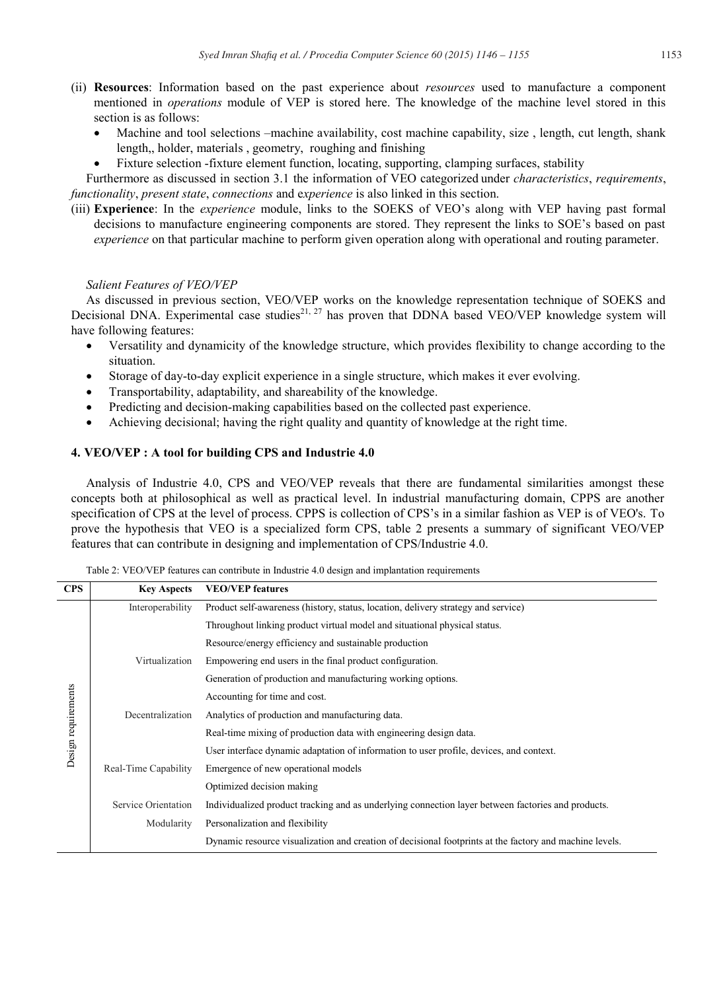- (ii) **Resources**: Information based on the past experience about *resources* used to manufacture a component mentioned in *operations* module of VEP is stored here. The knowledge of the machine level stored in this section is as follows:
	- Machine and tool selections –machine availability, cost machine capability, size, length, cut length, shank length,, holder, materials , geometry, roughing and finishing
	- Fixture selection -fixture element function, locating, supporting, clamping surfaces, stability

Furthermore as discussed in section 3.1 the information of VEO categorized under *characteristics*, *requirements*, *functionality*, *present state*, *connections* and e*xperience* is also linked in this section.

(iii) **Experience**: In the *experience* module, links to the SOEKS of VEO's along with VEP having past formal decisions to manufacture engineering components are stored. They represent the links to SOE's based on past *experience* on that particular machine to perform given operation along with operational and routing parameter.

# *Salient Features of VEO/VEP*

As discussed in previous section, VEO/VEP works on the knowledge representation technique of SOEKS and Decisional DNA. Experimental case studies<sup>21, 27</sup> has proven that DDNA based VEO/VEP knowledge system will have following features:

- Versatility and dynamicity of the knowledge structure, which provides flexibility to change according to the situation.
- x Storage of day-to-day explicit experience in a single structure, which makes it ever evolving.
- Transportability, adaptability, and shareability of the knowledge.
- x Predicting and decision-making capabilities based on the collected past experience.
- Achieving decisional; having the right quality and quantity of knowledge at the right time.

# **4. VEO/VEP : A tool for building CPS and Industrie 4.0**

Analysis of Industrie 4.0, CPS and VEO/VEP reveals that there are fundamental similarities amongst these concepts both at philosophical as well as practical level. In industrial manufacturing domain, CPPS are another specification of CPS at the level of process. CPPS is collection of CPS's in a similar fashion as VEP is of VEO's. To prove the hypothesis that VEO is a specialized form CPS, table 2 presents a summary of significant VEO/VEP features that can contribute in designing and implementation of CPS/Industrie 4.0.

| <b>CPS</b>          | <b>Key Aspects</b>   | <b>VEO/VEP</b> features                                                                                 |
|---------------------|----------------------|---------------------------------------------------------------------------------------------------------|
| Design requirements | Interoperability     | Product self-awareness (history, status, location, delivery strategy and service)                       |
|                     |                      | Throughout linking product virtual model and situational physical status.                               |
|                     |                      | Resource/energy efficiency and sustainable production                                                   |
|                     | Virtualization       | Empowering end users in the final product configuration.                                                |
|                     |                      | Generation of production and manufacturing working options.                                             |
|                     |                      | Accounting for time and cost.                                                                           |
|                     | Decentralization     | Analytics of production and manufacturing data.                                                         |
|                     |                      | Real-time mixing of production data with engineering design data.                                       |
|                     |                      | User interface dynamic adaptation of information to user profile, devices, and context.                 |
|                     | Real-Time Capability | Emergence of new operational models                                                                     |
|                     |                      | Optimized decision making                                                                               |
|                     | Service Orientation  | Individualized product tracking and as underlying connection layer between factories and products.      |
|                     | Modularity           | Personalization and flexibility                                                                         |
|                     |                      | Dynamic resource visualization and creation of decisional footprints at the factory and machine levels. |

Table 2: VEO/VEP features can contribute in Industrie 4.0 design and implantation requirements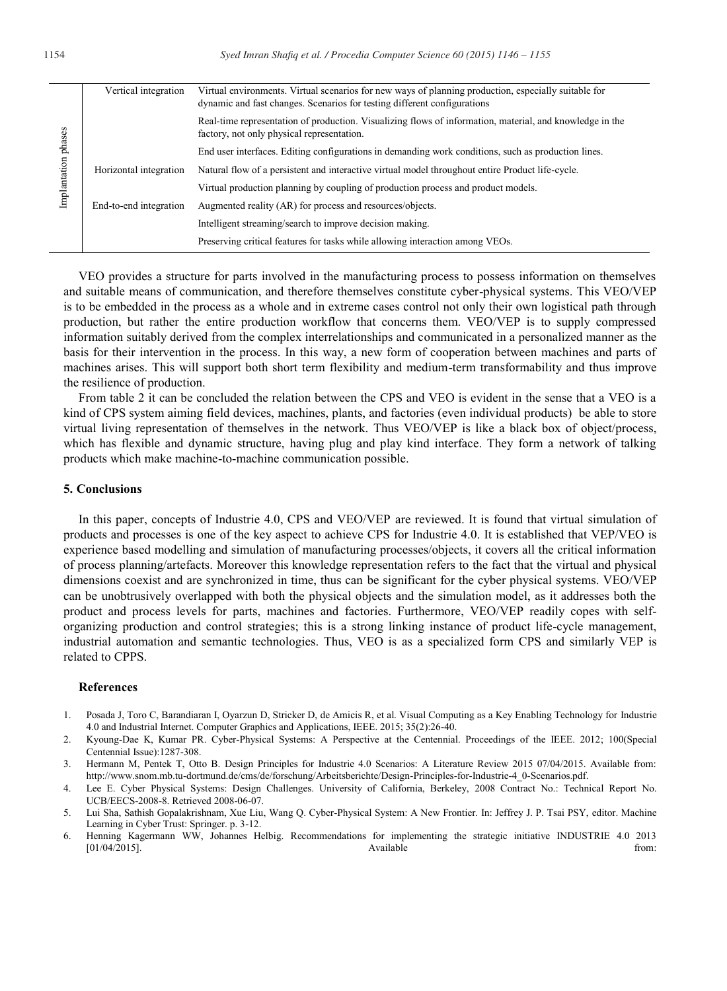| Implantation phases | Vertical integration   | Virtual environments. Virtual scenarios for new ways of planning production, especially suitable for<br>dynamic and fast changes. Scenarios for testing different configurations |
|---------------------|------------------------|----------------------------------------------------------------------------------------------------------------------------------------------------------------------------------|
|                     |                        | Real-time representation of production. Visualizing flows of information, material, and knowledge in the<br>factory, not only physical representation.                           |
|                     |                        | End user interfaces. Editing configurations in demanding work conditions, such as production lines.                                                                              |
|                     | Horizontal integration | Natural flow of a persistent and interactive virtual model throughout entire Product life-cycle.                                                                                 |
|                     |                        | Virtual production planning by coupling of production process and product models.                                                                                                |
|                     | End-to-end integration | Augmented reality (AR) for process and resources/objects.                                                                                                                        |
|                     |                        | Intelligent streaming/search to improve decision making.                                                                                                                         |
|                     |                        | Preserving critical features for tasks while allowing interaction among VEOs.                                                                                                    |

VEO provides a structure for parts involved in the manufacturing process to possess information on themselves and suitable means of communication, and therefore themselves constitute cyber-physical systems. This VEO/VEP is to be embedded in the process as a whole and in extreme cases control not only their own logistical path through production, but rather the entire production workflow that concerns them. VEO/VEP is to supply compressed information suitably derived from the complex interrelationships and communicated in a personalized manner as the basis for their intervention in the process. In this way, a new form of cooperation between machines and parts of machines arises. This will support both short term flexibility and medium-term transformability and thus improve the resilience of production.

From table 2 it can be concluded the relation between the CPS and VEO is evident in the sense that a VEO is a kind of CPS system aiming field devices, machines, plants, and factories (even individual products) be able to store virtual living representation of themselves in the network. Thus VEO/VEP is like a black box of object/process, which has flexible and dynamic structure, having plug and play kind interface. They form a network of talking products which make machine-to-machine communication possible.

# **5. Conclusions**

In this paper, concepts of Industrie 4.0, CPS and VEO/VEP are reviewed. It is found that virtual simulation of products and processes is one of the key aspect to achieve CPS for Industrie 4.0. It is established that VEP/VEO is experience based modelling and simulation of manufacturing processes/objects, it covers all the critical information of process planning/artefacts. Moreover this knowledge representation refers to the fact that the virtual and physical dimensions coexist and are synchronized in time, thus can be significant for the cyber physical systems. VEO/VEP can be unobtrusively overlapped with both the physical objects and the simulation model, as it addresses both the product and process levels for parts, machines and factories. Furthermore, VEO/VEP readily copes with selforganizing production and control strategies; this is a strong linking instance of product life-cycle management, industrial automation and semantic technologies. Thus, VEO is as a specialized form CPS and similarly VEP is related to CPPS.

#### **References**

- 1. Posada J, Toro C, Barandiaran I, Oyarzun D, Stricker D, de Amicis R, et al. Visual Computing as a Key Enabling Technology for Industrie 4.0 and Industrial Internet. Computer Graphics and Applications, IEEE. 2015; 35(2):26-40.
- 2. Kyoung-Dae K, Kumar PR. Cyber-Physical Systems: A Perspective at the Centennial. Proceedings of the IEEE. 2012; 100(Special Centennial Issue):1287-308.
- 3. Hermann M, Pentek T, Otto B. Design Principles for Industrie 4.0 Scenarios: A Literature Review 2015 07/04/2015. Available from: http://www.snom.mb.tu-dortmund.de/cms/de/forschung/Arbeitsberichte/Design-Principles-for-Industrie-4\_0-Scenarios.pdf.
- 4. Lee E. Cyber Physical Systems: Design Challenges. University of California, Berkeley, 2008 Contract No.: Technical Report No. UCB/EECS-2008-8. Retrieved 2008-06-07.
- 5. Lui Sha, Sathish Gopalakrishnam, Xue Liu, Wang Q. Cyber-Physical System: A New Frontier. In: Jeffrey J. P. Tsai PSY, editor. Machine Learning in Cyber Trust: Springer. p. 3-12.
- 6. Henning Kagermann WW, Johannes Helbig. Recommendations for implementing the strategic initiative INDUSTRIE 4.0 2013 [01/04/2015]. **Container from: Container and Available** from: **Available** from: